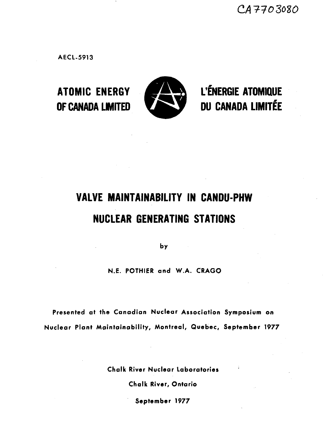CA7703080

**AECL-5913**



**ATOMIC ENERGY WS & L'ÉNERGIE ATOMIQUE OF CANADA LIMITED ^& 9 DU CANADA LIMITÉE**

# **VALVE MAINTAINABILITY IN CANDU-PHW NUCLEAR GENERATING STATIONS**

**by**

**N.E. POTHIER and W.A. CRAGO**

**Presented at the Canadian Nuclear Association Symposium on Nuclear Plant Maintainability, Montreal, Quebec, September 1977**

**Chalk River Nuclear Laboratories**

**Chalk River, Ontario**

**September 1977**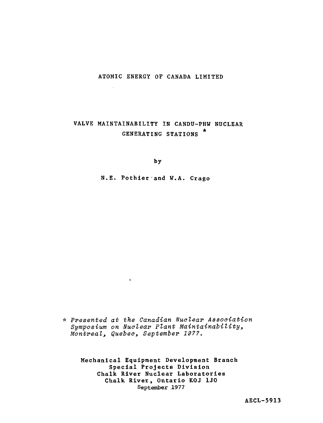#### ATOMIC ENERGY OF CANADA LIMITED

 $\sim$ 

# **VALVE** MAINTAINABILITY IN **CANDU-PHW** NUCLEAR GENERATING STATIONS \*

**by**

N.E. Pothier and W.A. Crago

\* Presented at the Canadian Nuclear Association Symposium on Nuclear Plant Maintainability, Montreal, Quebec, September 1977.

 $\alpha$ 

**Mechanical Equipment Development Branch Special Projects Division Chalk River Nuclear Laboratories Chalk River, Ontario KOJ 1J0** September 1977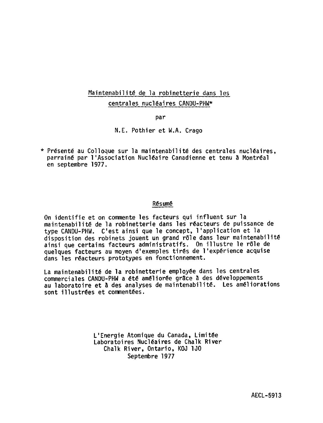# Maintenabilité de la robinetterie dans les centrales nucléaires CANDU-PHW\*

**par**

**N.E. Pothier et W.A. Crago**

**\* Présenté au Colloque sur la maintenabilité des centrales nucléaires, parrainé par l'Association Nucléaire Canadienne et tenu â Montréal en septembre 1977.**

#### **Résumé**

On identifie et on commente les facteurs qui influent sur la maintenabilité de la robinetterie dans les réacteurs de puissance de type CANDU-PHW. C'est ainsi que le concept, l'application et la disposition des robinets jouent un grand rôle dans leur maintenabilité ainsi que certains facteurs administratifs. On illustre le rôle de quelques facteurs au moyen d'exemples tirés de l'expérience acquise dans les réacteurs prototypes en fonctionnement.

**La maintenabilité de la robinetterie employée dans les centrales commerciales CANDU-PHW a été améliorée grSce â des développements au laboratoire et S des analyses de maintenabilité. Les améliorations sont illustrées et commentées.**

> L'Energie Atomique du Canada, Limitée Laboratoires Nucléaires de Chalk River Chalk River, Ontario, KOJ 1J0 Septembre 1977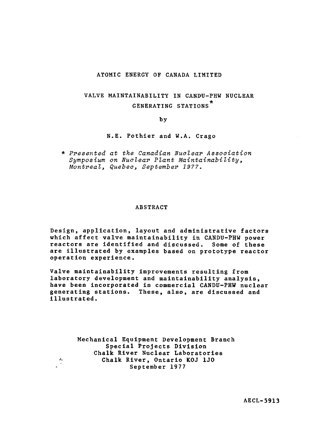#### ATOMIC ENERGY OF CANADA LIMITED

# VALVE MAINTAINABILITY IN CANDU-PHW NUCLEAR GENERATING STATIONS\*

#### by

#### N.E. Pothier and W.A. Crago

\* Presented at the Canadian Nuclear Association Symposium on Nuclear Plant Maintainability, Montreal, Quebec, September 1977.

#### ABSTRACT

Design, application, layout and administrative factors which affect valve maintainability in CANDU-PHW power reactors are identified and discussed. Some of these are illustrated by examples based on prototype reactor operation experience.

Valve maintainability improvements resulting from laboratory development and maintainability analysis, have been incorporated in commercial CANDU-PHW nuclear generating stations. These, also, are discussed and illustrated.

> Mechanical Equipment Development Branch Special Projects Division Chalk River Nuclear Laboratories Chalk River, Ontario KOJ 1J0 September 1977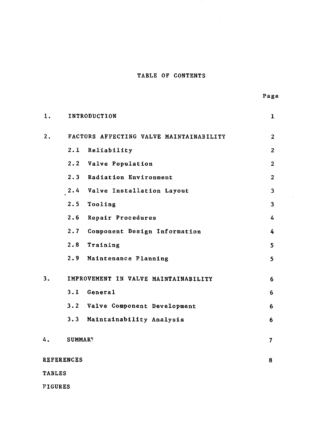### TABLE OF CONTENTS

 $\cdot$ 

 $\mathcal{A}^{\text{max}}_{\text{max}}$ 

| 1.                     | INTRODUCTION<br>$\mathbf{1}$ |                                         |                |  |  |  |
|------------------------|------------------------------|-----------------------------------------|----------------|--|--|--|
| 2.                     |                              | FACTORS AFFECTING VALVE MAINTAINABILITY | $\overline{2}$ |  |  |  |
|                        | 2.1                          | Reliability                             | $\overline{2}$ |  |  |  |
|                        | 2.2                          | Valve Population                        | $\overline{2}$ |  |  |  |
|                        |                              | 2.3 Radiation Environment               | $\overline{2}$ |  |  |  |
|                        | 2.4                          | Valve Installation Layout               | 3              |  |  |  |
|                        |                              | 2.5 Tooling                             | 3              |  |  |  |
|                        | 2.6                          | Repair Procedures                       | 4              |  |  |  |
|                        |                              | 2.7 Component Design Information        | 4              |  |  |  |
|                        | 2.8                          | Training                                | 5              |  |  |  |
|                        |                              | 2.9 Maintenance Planning                | 5              |  |  |  |
| 3.                     |                              | IMPROVEMENT IN VALVE MAINTAINABILITY    | 6              |  |  |  |
|                        |                              | 3.1 General                             | 6              |  |  |  |
|                        |                              | 3.2 Valve Component Development         | 6              |  |  |  |
|                        |                              | 3.3 Maintainability Analysis            | 6              |  |  |  |
| 4.                     | <b>SUMMARY</b>               |                                         | $\overline{7}$ |  |  |  |
| <b>REFERENCES</b><br>8 |                              |                                         |                |  |  |  |
| <b>TABLES</b>          |                              |                                         |                |  |  |  |
| <b>FIGURES</b>         |                              |                                         |                |  |  |  |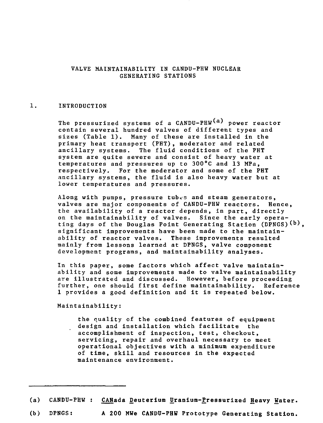#### VALVE MAINTAINABILITY IN CANDU-PHW NUCLEAR GENERATING STATIONS

#### 1. INTRODUCTION

The pressurized systems of a  $CANDU-PHW^{(a)}$  power reactor contain several hundred valves of different types and sizes (Table 1). Many of these are installed in the primary heat transport (PHT), moderator and related ancillary systems. The fluid conditions of the PHT system are quite severe and consist of heavy water at temperatures and pressures up to 300°C and 13 MPa, respectively. For the moderator and some of the PHT ancillary systems, the fluid is also heavy water but at lower temperatures and pressures.

Along with pumps, pressure tubes and steam generators, valves are major components of CANDU-PHW reactors. Hence, the availability of a reactor depends, in part, directly on the maintainability of valves. Since the early operating days of the Douglas Point Generating Station (DPNGS) (b), significant improvements have been made to the maintainability of reactor valves. These improvements resulted mainly from lessons learned at DPNGS, valve component development programs, and maintainability analyses.

In this paper, some factors which affect valve maintainability and some improvements made to valve maintainability are illustrated and discussed. However, before proceeding further, one should first define maintainability. Reference 1 provides a good definition and it is repeated below.

Maintainability:

the quality of the combined features of equipment design and installation which facilitate the. accomplishment of inspection, test, checkout, servicing, repair and overhaul necessary to meet operational objectives with a minimum expenditure of time, skill and resources in the expected maintenance **environment.**

- (a) **CANDU-PHW** : **CANada Deuterium Uranium-jPressurized Heavy Water.**
- (b) DPNGS: **A 200 MWe CANDU-PHW Prototype Generating Station.**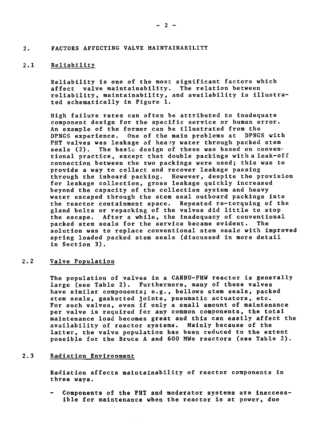#### 2. FACTORS AFFECTING VALVE MAINTAINABILITY

#### 2.1 Reliability

Reliability is one of the most significant factors which affect valve maintainability. The relation between reliability, maintainability, and availability is illustrated schematically in Figure 1.

High failure rates can often be attributed to inadequate component design for the specific service or human error. An example of the former can be illustrated from the DPNGS experience. One of the main problems at DPNGS with PHT valves was leakage of heavy water through packed stem seals (2). The basic design of these was based on conventional practice, except that double packings with a leak-off connection between the two packings were used; this was to provide a way to collect and recover leakage passing through the inboard packing. However, despite the provision for leakage collection, gross leakage quickly increased beyond the capacity of the collection system and heavy water escaped through the stem seal outboard packings into<br>the reactor containment space. Repeated re-torquing of the the reactor containment space. gland bolts or repacking of the valves did little to stop the escape. After a while, the inadequacy of conventional packed stem seals for the service became evident. The solution was to replace conventional stem seals with improved spring loaded packed stem seals (discussed in more detail in Section 3).

#### 2.2 Valve Population

The population of valves in a CANDU-PHW reactor is generally large (see Table 2). Furthermore, many of these valves have similar components; e.g., bellows stem seals, packed stem seals, gasketted joints, pneumatic actuators, etc. For such valves, even if only a small amount of maintenance per valve is required for any common components, the total maintenance load becomes great and this can easily affect the availability of reactor systems. Mainly because of the latter, the valve population has been reduced to the extent possible for the Bruce A and 600 MWe reactors (see Table 2).

#### 2.3 Radiation Environment

Radiation affects maintainability of reactor components in three ways.

Components of the PHT and moderator systems are inaccessible for maintenance when the reactor is at power, due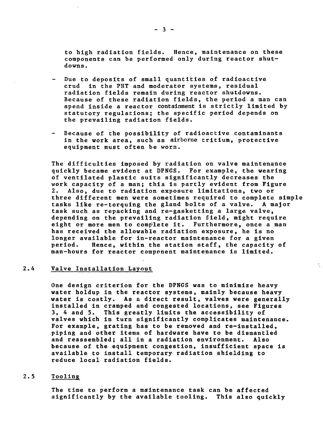to high radiation fields. Hence, maintenance on these components can be performed only during reactor shutdowns .

- Due to deposits of small quantities of radioactive crud in the PHT and moderator systems, residual radiation fields remain during reactor shutdowns. Because of these radiation fields, the period a man can spend inside a reactor containment is strictly limited by statutory regulations; the specific period depends on the prevailing radiation fields.
- Because of the possibility of radioactive contaminants  $\frac{1}{2}$ in the work area, such as airborne tritium, protective equipment must often be worn.

The difficulties imposed by radiation on valve maintenance quickly became evident at DPNGS. For example, the wearing of ventilated plastic suits significantly decreases the work capacity of a man; this is partly evident from Figure 2. Also, due to radiation exposure limitations, two or three different men were sometimes required to complete simple tasks like re-torquing the gland bolts of a valve. task such as repacking and re-gasketting a large valve, depending on the prevailing radiation field, might require eight or more men to complete it. Furthermore, once a man has received the allowable radiation exposure, he is no longer available for in-reactor maintenance for a given period. Hence, within the station staff, the capacity of man-hours for reactor component maintenance is limited.

t.

#### 2.4 Valve Installation Layout

One design criterion for the DPNGS was to minimize heavy water holdup in the reactor systems, mainly because heavy water is costly. As a direct result, valves were generally installed in cramped and congested locations, see Figures 3, 4 and 5. This greatly limits the accessibility of valves which in turn significantly complicates maintenance. For example, grating has to be removed and re-installed, piping and other items of hardware have to be dismantled and reassembled; all in a radiation environment. because of the equipment congestion, insufficient space is available to install temporary radiation shielding to reduce local radiation fields.

#### 2.5 Tooling

The time to perform a maintenance task can be affected significantly by the available tooling. This also quickly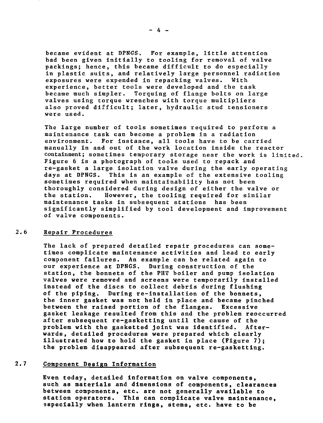became evident at DPNGS. For example, little attention had been given initially to tooling for removal of valve packings; hence, this became difficult to do especially in plastic suits, and relatively large personnel radiation exposures were expended in repacking valves. With experience, better tools were developed and the task became much simpler. Torquing of flange bolts on large valves using torque wrenches with torque multipliers also proved difficult; later, hydraulic stud tensioners were used.

The large number of tools sometimes required to perform a maintenance task can become a problem in a radiation environment. For instance, all tools have to be carried manually in and out of the work location inside the reactor containment; sometimes temporary storage near the work is limited. Figure 6 is a photograph of tools used to repack and re-gasket a large isolation valve during the early operating days at DPNGS. This is an example of the extensive tooling sometimes required when maintainability has not been thoroughly considered during design of either the valve or the station. However, the tooling required for similar maintenance tasks in subsequent stations has been significantly simplified by tool development and improvement of valve components.

#### 2.6 Repair Procedures

The lack of prepared detailed repair procedures can sometimes complicate maintenance activities and lead to early component failures. An example can be related again to our experience at DPNGS. During construction of the station, the bonnets of the PHT boiler and pump isolation valves were removed and screens were temporarily installed instead of the discs to collect debris during flushing of the piping. During re-installation of the bonnets, the inner gasket was not held in place and became pinched between the raised portion of the flanges. Excessive gasket leakage resulted from this and the problem reoccurred after subsequent re-gasketting until the cause of the problem with the gasketted joint was identified. Afterwards, detailed procedures were prepared which clearly illustrated how to hold the gasket in place (Figure 7) ; the problem disappeared after subsequent re-gasketting.

#### 2.**7 Component Design Information**

Even **today, detailed information on** valve components, such **as materials and dimensions of components, clearances between components, etc. are not generally available to station operators. This can complicate valve maintenance,** especially **when lantern rings, stems, etc. have to be**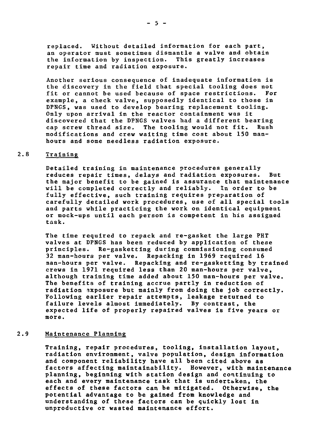replaced. Without detailed information for each part, an operator must sometimes dismantle a valve and obtain the information by inspection. This greatly increases repair time and radiation exposure.

Another serious consequence of inadequate information is the discovery in the field that special tooling does not<br>fit or cannot be used because of space restrictions. For fit or cannot be used because of space restrictions. example, a check valve, supposedly identical to those in DPNGS, was used to develop bearing replacement tooling. Only upon arrival in the reactor containment was it discovered that the DPNGS valves had a different bearing<br>cap screw thread size. The tooling would not fit. Rush The tooling would not fit. modifications and crew waiting time cost about 150 manhours and some needless radiation exposure.

#### 2.8 Training

Detailed training in maintenance procedures generally reduces repair times, delays and radiation exposures. But the major benefit to be gained is assurance that maintenance will be completed correctly and reliably. In order to be fully effective, such training requires preparation of carefully detailed work procedures, use of all special tools and parts while practicing the work on identical equipment or mock-ups until each person is competent in his assigned task.

The time required to repack and re-gasket the large PHT valves at DPNGS has been reduced by application of these principles. Re-gasketting during commissioning consumed 32 man-hours per valve. Repacking in 1969 required 16 man-hours per valve. Repacking and re-gasketting by trained crews in 1971 required less than 20 man-hours per valve, although training time added about 150 man-hours per valve. The benefits of training accrue partly in reduction of radiation exposure but mainly from doing the job correctly. Following earlier repair attempts, leakage returned to failure levels almost immediately. By contrast, the expected life of properly repaired valves is five years or more.

#### 2.9 Maintenance Planning

Training, repair procedures, tooling, installation layout, radiation environment, valve population, design information and component reliability have all been cited above as factors affecting maintainability. However, with maintenance planning, beginning with station design and continuing to each and every maintenance task that is undertaken, the effects of these factors can be mitigated. Otherwise, the potential advantage to be gained from knowledge and understanding of these factors can be quickly lost in unproductive or wasted maintenance effort.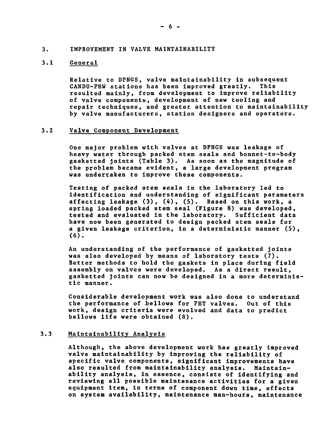#### **3. IMPROVEMENT IN VALVE MAINTAINABILITY**

#### **3.1 General**

**Relative to DPNGS, valve maintainability in subsequent** CANDU-PHW stations has been improved greatly. **resulted mainly, from development to improve reliability of valve components, development of new tooling and repair techniques, and greater attention to maintainability by valve manufacturers, station designers and operators.**

#### **3.2 Valve Component Development**

**One major problem with valves at DPNGS was leakage of heavy water through packed stem seals and bonnet-to-body gasketted joints (Table 3). As soon as the magnitude of the problem became evident, a large development program was undertaken to improve these components.**

**Testing of packed stem seals in the laboratory led to identification and understanding of significant parameters affecting leakage (3), (4), (5). Based on this work, a spring loaded packed stem seal (Figure 8) was developed, tested and evaluated in the laboratory. Sufficient data have now been generated to design packed stem seals for a given leakage criterion, in a deterministic manner (5), (6).**

**An understanding of the performance of gasketted joints was also developed by means of laboratory tests (7). Better methods to hold the gaskets in place during field assembly on valves were developed. As a direct result, gasketted joints can now be designed in a more deterministic manner.**

**Considerable development work was also done to understand the performance of -bellows for PHT valves. Out of this work, design criteria were evolved and data to predict bellows life were obtained (8).**

#### **3.3 Maintainability Analysis**

**Although, the above development work has greatly improved valve maintainability by improving the reliability of specific valve components, significant improvements have also resulted from maintainability analysis. Maintainability analysis, in essence, consists of identifying and reviewing all possible maintenance activities for a given equipment item, in terms of component down time, effects on system availability, maintenance man-hours, maintenance**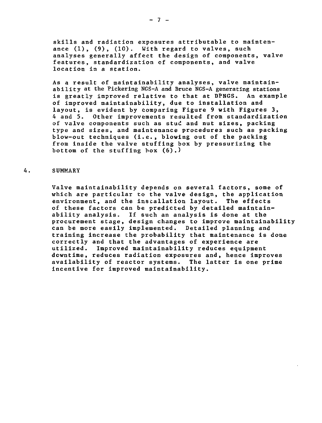skills and radiation exposures attributable to maintenance (1), (9), (10). With regard to valves, such analyses generally affect the design of components, valve features, standardization cf components, and valve location in a station.

As a result of maintainability analyses, valve maintainability at the Pickering NGS-A and Bruce NGS-A generating stations is greatly improved relative to that at DPNGS. An example of improved maintainability, due to installation and layout, is evident by comparing Figure 9 with Figures 3, 4 and 5. Other improvements resulted from standardization of valve components such as stud and nut sizes, packing type and sizes, and maintenance procedures such as packing blow-out techniques (i.e., blowing out of the packing from inside the valve stuffing box by pressurizing the bottom of the stuffing box (6).)

#### 4. SUMMARY

Valve maintainability depends on several factors, some of which are particular to the valve design, the application environment, and the installation layout. The effects of these factors can be predicted by detailed maintainability analysis. If such an analysis is done at the procurement stage, design changes to improve maintainability can be more easily implemented. Detailed planning and training increase the probability that maintenance is done correctly and that the advantages of experience are utilized. Improved maintainability reduces equipment downtime, reduces radiation exposures and, hence improves availability of reactor systems. The latter is one prime incentive for improved maintainability.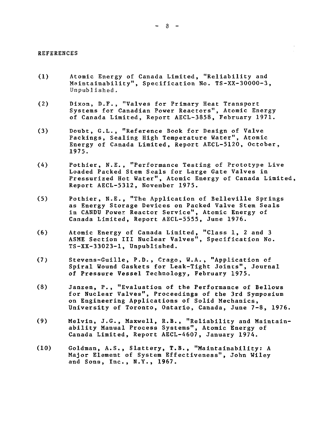#### REFERENCES

- (1) Atomic Energy of Canada Limited, "Reliability and Maintainability", Specification No. TS-XX-30000-3, Unpublished.
- (2) Dixon, D.F., "Valves for Primary Heat Transport Systems for Canadian Power Reactors", Atomic Energy of Canada Limited, Report AECL-3858, February 1971.
- (3) Doubt, G.L., "Reference Book for Design of Valve Packings, Sealing High Temperature Water", Atomic Energy of Canada Limited, Report AECL-5120, October, 1975.
- (4) Pothier, N.E., "Performance Testing of Prototype Live Loaded Packed Stem Seals for Large Gate Valves in Pressurized Hot Water", Atomic Energy of Canada Limited, Report AECL-5312, November 1975.
- (5) Pothier, N.E., "The Application of Belleville Springs as Energy Storage Devices on Packed Valve Stem Seals in CANDU Power Reactor Service", Atomic Energy of Canada Limited, Report AECL-5555, June 1976.
- (6) Atomic Energy of Canada Limited, "Class 1, 2 and 3 ASME Section III Nuclear Valves", Specification No. TS-XX-33023-1, Unpublished.
- (7) Stevens-Guille, P.D., Crago, W.A., "Application of Spiral Wound Gaskets for Leak-Tight Joints", Journal of Pressure Vessel Technology, February 1975.
- (8) Janzen, P., "Evaluation of the Performance of Bellows for Nuclear Valves", Proceedings of the 3rd Symposium on Engineering Applications of Solid Mechanics, University of Toronto, Ontario, Canada, June 7-8, 1976.
- (9) Melvin, J.G., Maxwell, R.B., "Reliability and Maintainability Manual Process Systems", Atomic Energy of Canada Limited, Report AECL-4607, January 1974.
- (10) Goldman, A.S., Slattery, T.B., "Maintainability: A Major Element of System Effectiveness", John Wiley and Sons, Inc., N.Y., 1967.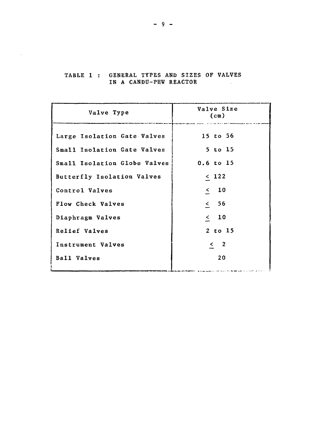| Valve Type                   | Valve Size<br>$(c_{m})$ |
|------------------------------|-------------------------|
| Large Isolation Gate Valves  | 15 to 56                |
| Small Isolation Gate Valves  | 5 to 15                 |
| Small Isolation Globe Valves | $0.6$ to $15$           |
| Butterfly Isolation Valves   | $\leq 122$              |
| Control Valves               | $\leq$ 10               |
| Flow Check Valves            | & 56                    |
| Diaphragm Valves             | $\langle$ 10            |
| Relief Valves                | $2$ to $15$             |
| Instrument Valves            | $\leq$ 2                |
| Ball Valves                  | 20                      |
|                              |                         |

#### TABLE 1 : GENERAL TYPES AND SIZES OF VALVES IN A CANDU-PHW REACTOR in L

 $\mathcal{L}$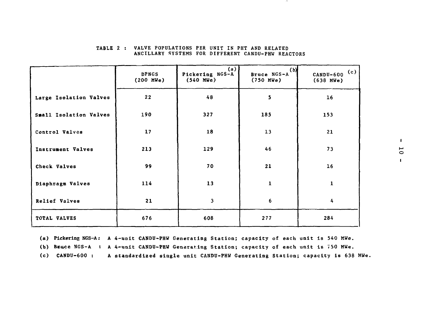|                        | <b>DPNGS</b><br>$(200 \text{ MWe})$ | (a)<br>Pickering NGS-A<br>(540 MWe) | (b)<br>Bruce NGS-A<br>$(750 \text{ MWe})$ | $CANDU-600$ (c)<br>(638 MWe) |
|------------------------|-------------------------------------|-------------------------------------|-------------------------------------------|------------------------------|
| Large Isolation Valves | 22                                  | 48                                  | 5 <sub>1</sub>                            | 16                           |
| Small Isolation Valves | 190                                 | 327                                 | 185                                       | 153                          |
| Control Valves         | 17                                  | 18                                  | 13                                        | 21                           |
| Instrument Valves      | 213                                 | 129                                 | 46                                        | 73                           |
| Check Valves           | 99                                  | 70                                  | 21                                        | 16                           |
| Diaphragm Valves       | 114                                 | 13                                  | $\mathbf{1}$                              | $\mathbf{1}$                 |
| Relief Valves          | 21                                  | $\overline{\mathbf{3}}$             | 6                                         | 4                            |
| TOTAL VALVES           | 676                                 | 608                                 | 277                                       | 284                          |

#### TABLE 2 : VALVE POPULATIONS PER UNIT IN PHT AND RELATED ANCILLARY SYSTEMS FOR DIFFERENT CANDU-PHW REACTORS

of the

(a) Pickering NGS-A: A 4-unit CANDU-PHW Generating Station; capacity of each unit is 540 MWe. (b) BENCE NGS-A : A 4-unit CANDU-PHW Generating Station; capacity of each unit is 750 MWe. (c) CANDU-600 : A standardized single unit CANDU-PHW Generating Station; capacity is 638 MWe.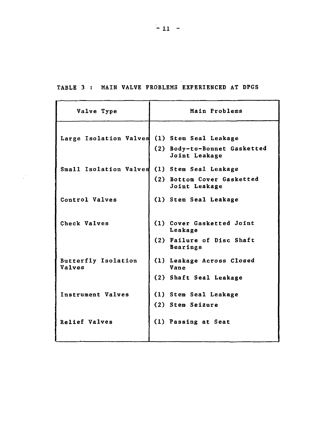**TABLE 3 : MAIN VALVE PROBLEMS EXPERIENCED AT DPGS**

| Valve Type                                   | Main Problems                                                        |  |  |
|----------------------------------------------|----------------------------------------------------------------------|--|--|
| Large Isolation Valves (1) Stem Seal Leakage | (2) Body-to-Bonnet Gasketted<br>Joint Leakage                        |  |  |
| Small Isolation Valves                       | (1) Stem Seal Leakage<br>(2) Bottom Cover Gasketted<br>Joint Leakage |  |  |
| Control Valves                               | (1) Stem Seal Leakage                                                |  |  |
| Check Valves                                 | (1) Cover Gasketted Joint<br>Leakage                                 |  |  |
|                                              | (2) Failure of Disc Shaft<br>Bearings                                |  |  |
| Butterfly Isolation<br><b>Valves</b>         | (1) Leakage Across Closed<br>Vane                                    |  |  |
|                                              | (2) Shaft Seal Leakage                                               |  |  |
| Instrument Valves                            | (1) Stem Seal Leakage                                                |  |  |
|                                              | (2) Stem Seizure                                                     |  |  |
| Relief Valves                                | (1) Passing at Seat                                                  |  |  |
|                                              |                                                                      |  |  |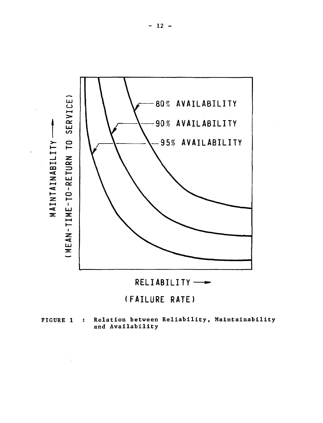



# **(FAILURE RATE)**

**FIGURE 1 : Relation between Reliability, Maintainability and Availability**

 $\mathcal{F}_{\mathcal{A}}$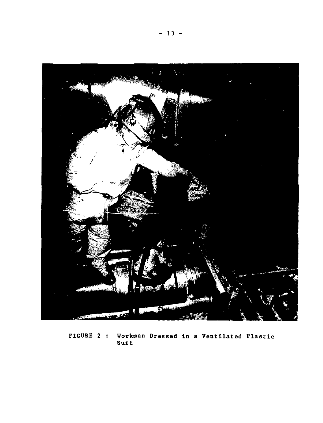

**FIGURE 2 : Workman Dressed in a Ventilated Plastic Suit**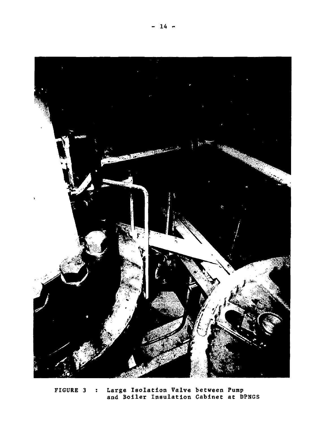

**FIGURE 3 : Large Isolation Valve between Pump and Boiler Insulation Cabinet at DPNGS**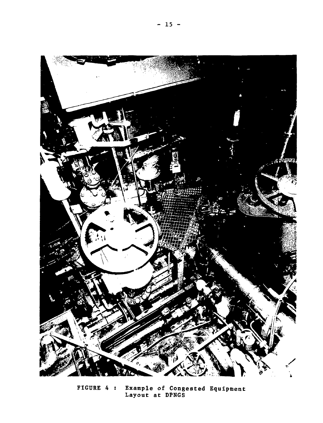

**FIGURE 4 : Example of Congested Equipment Layout at DPNGS**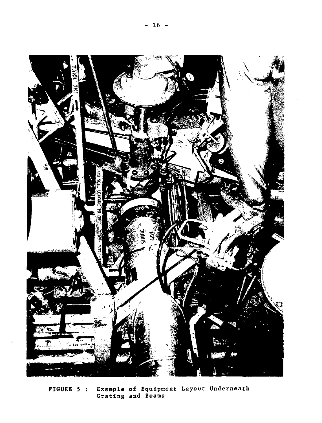

**FIGURE 5 : Example of Equipment Layout Underneath Grating and Beams**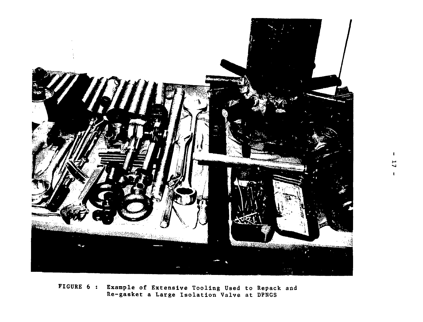

FIGURE 6 : Example of Extensive Tooling Used to Repack and Re-gasket a Large Isolation Valve at DPNGS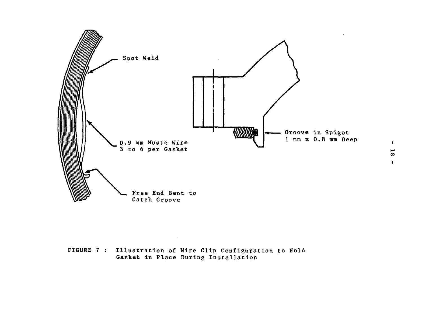

FIGURE 7 : Illustration of Wire Clip Configuration to Hold Gasket in Place During Installation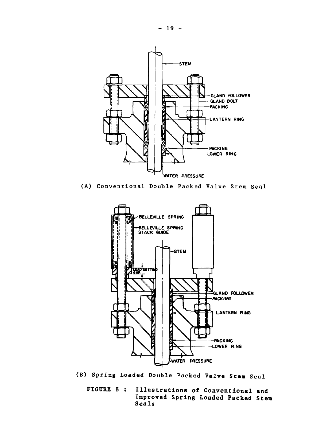

(A) Conventional Double Packed Valve Stem Seal



**FIGURE 8** ; **Illustrations of Conventional and Improved Spring Loaded Packed Stem Seals**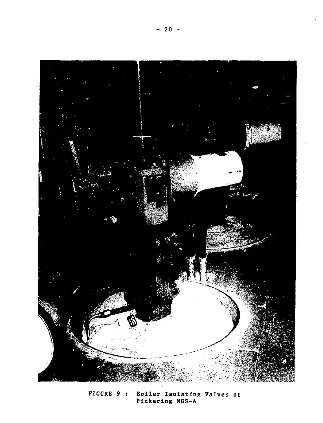

**FIGURE 9 : Boiler Isolating Valves at Pickering NGS-A**